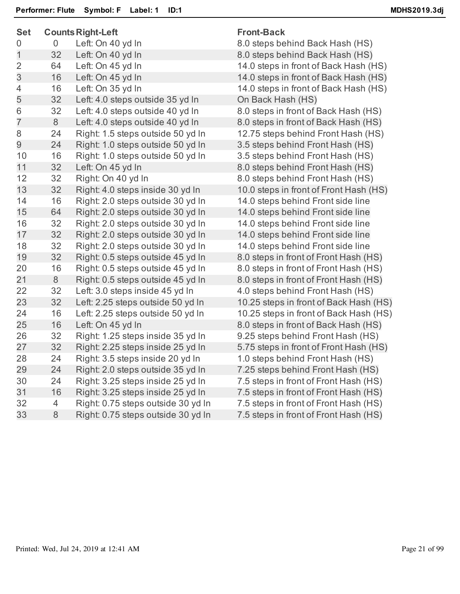| <b>Set</b>     | <b>Counts Right-Left</b> |                                    | <b>Front-Back</b>                      |  |
|----------------|--------------------------|------------------------------------|----------------------------------------|--|
| 0              | $\overline{0}$           | Left: On 40 yd In                  | 8.0 steps behind Back Hash (HS)        |  |
| 1              | 32                       | Left: On 40 yd In                  | 8.0 steps behind Back Hash (HS)        |  |
| $\overline{2}$ | 64                       | Left: On 45 yd In                  | 14.0 steps in front of Back Hash (HS)  |  |
| 3              | 16                       | Left: On 45 yd In                  | 14.0 steps in front of Back Hash (HS)  |  |
| 4              | 16                       | Left: On 35 yd In                  | 14.0 steps in front of Back Hash (HS)  |  |
| 5              | 32                       | Left: 4.0 steps outside 35 yd In   | On Back Hash (HS)                      |  |
| 6              | 32                       | Left: 4.0 steps outside 40 yd In   | 8.0 steps in front of Back Hash (HS)   |  |
| $\overline{7}$ | 8                        | Left: 4.0 steps outside 40 yd In   | 8.0 steps in front of Back Hash (HS)   |  |
| 8              | 24                       | Right: 1.5 steps outside 50 yd In  | 12.75 steps behind Front Hash (HS)     |  |
| $\overline{9}$ | 24                       | Right: 1.0 steps outside 50 yd In  | 3.5 steps behind Front Hash (HS)       |  |
| 10             | 16                       | Right: 1.0 steps outside 50 yd In  | 3.5 steps behind Front Hash (HS)       |  |
| 11             | 32                       | Left: On 45 yd In                  | 8.0 steps behind Front Hash (HS)       |  |
| 12             | 32                       | Right: On 40 yd In                 | 8.0 steps behind Front Hash (HS)       |  |
| 13             | 32                       | Right: 4.0 steps inside 30 yd In   | 10.0 steps in front of Front Hash (HS) |  |
| 14             | 16                       | Right: 2.0 steps outside 30 yd In  | 14.0 steps behind Front side line      |  |
| 15             | 64                       | Right: 2.0 steps outside 30 yd In  | 14.0 steps behind Front side line      |  |
| 16             | 32                       | Right: 2.0 steps outside 30 yd In  | 14.0 steps behind Front side line      |  |
| 17             | 32                       | Right: 2.0 steps outside 30 yd In  | 14.0 steps behind Front side line      |  |
| 18             | 32                       | Right: 2.0 steps outside 30 yd In  | 14.0 steps behind Front side line      |  |
| 19             | 32                       | Right: 0.5 steps outside 45 yd In  | 8.0 steps in front of Front Hash (HS)  |  |
| 20             | 16                       | Right: 0.5 steps outside 45 yd In  | 8.0 steps in front of Front Hash (HS)  |  |
| 21             | 8                        | Right: 0.5 steps outside 45 yd In  | 8.0 steps in front of Front Hash (HS)  |  |
| 22             | 32                       | Left: 3.0 steps inside 45 yd In    | 4.0 steps behind Front Hash (HS)       |  |
| 23             | 32                       | Left: 2.25 steps outside 50 yd In  | 10.25 steps in front of Back Hash (HS) |  |
| 24             | 16                       | Left: 2.25 steps outside 50 yd In  | 10.25 steps in front of Back Hash (HS) |  |
| 25             | 16                       | Left: On 45 yd In                  | 8.0 steps in front of Back Hash (HS)   |  |
| 26             | 32                       | Right: 1.25 steps inside 35 yd In  | 9.25 steps behind Front Hash (HS)      |  |
| 27             | 32                       | Right: 2.25 steps inside 25 yd In  | 5.75 steps in front of Front Hash (HS) |  |
| 28             | 24                       | Right: 3.5 steps inside 20 yd In   | 1.0 steps behind Front Hash (HS)       |  |
| 29             | 24                       | Right: 2.0 steps outside 35 yd In  | 7.25 steps behind Front Hash (HS)      |  |
| 30             | 24                       | Right: 3.25 steps inside 25 yd In  | 7.5 steps in front of Front Hash (HS)  |  |
| 31             | 16                       | Right: 3.25 steps inside 25 yd In  | 7.5 steps in front of Front Hash (HS)  |  |
| 32             | 4                        | Right: 0.75 steps outside 30 yd In | 7.5 steps in front of Front Hash (HS)  |  |
| 33             | 8                        | Right: 0.75 steps outside 30 yd In | 7.5 steps in front of Front Hash (HS)  |  |
|                |                          |                                    |                                        |  |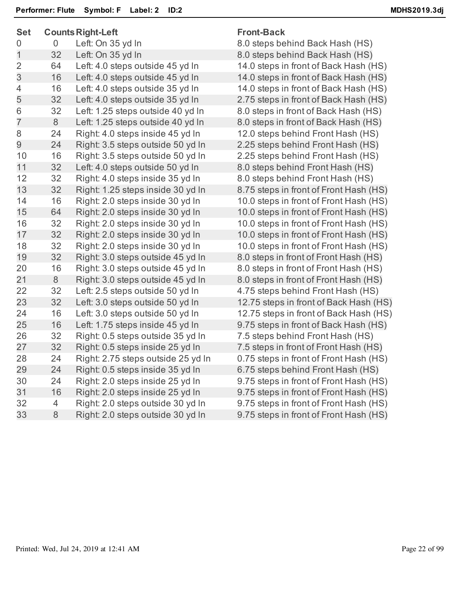| <b>Set</b>     |                | <b>Counts Right-Left</b>           | <b>Front-Back</b>                    |  |
|----------------|----------------|------------------------------------|--------------------------------------|--|
| 0              | $\overline{0}$ | Left: On 35 yd In                  | 8.0 steps behind Back Hash (HS)      |  |
| $\mathbf{1}$   | 32             | Left: On 35 yd In                  | 8.0 steps behind Back Hash (HS)      |  |
| $\overline{2}$ | 64             | Left: 4.0 steps outside 45 yd In   | 14.0 steps in front of Back Hash (I  |  |
| 3              | 16             | Left: 4.0 steps outside 45 yd In   | 14.0 steps in front of Back Hash (I  |  |
| $\overline{4}$ | 16             | Left: 4.0 steps outside 35 yd In   | 14.0 steps in front of Back Hash (I  |  |
| 5              | 32             | Left: 4.0 steps outside 35 yd In   | 2.75 steps in front of Back Hash (I  |  |
| 6              | 32             | Left: 1.25 steps outside 40 yd In  | 8.0 steps in front of Back Hash (H   |  |
| $\overline{7}$ | 8              | Left: 1.25 steps outside 40 yd In  | 8.0 steps in front of Back Hash (H   |  |
| 8              | 24             | Right: 4.0 steps inside 45 yd In   | 12.0 steps behind Front Hash (HS     |  |
| 9              | 24             | Right: 3.5 steps outside 50 yd In  | 2.25 steps behind Front Hash (HS     |  |
| 10             | 16             | Right: 3.5 steps outside 50 yd In  | 2.25 steps behind Front Hash (HS     |  |
| 11             | 32             | Left: 4.0 steps outside 50 yd In   | 8.0 steps behind Front Hash (HS)     |  |
| 12             | 32             | Right: 4.0 steps inside 35 yd In   | 8.0 steps behind Front Hash (HS)     |  |
| 13             | 32             | Right: 1.25 steps inside 30 yd In  | 8.75 steps in front of Front Hash (I |  |
| 14             | 16             | Right: 2.0 steps inside 30 yd In   | 10.0 steps in front of Front Hash (I |  |
| 15             | 64             | Right: 2.0 steps inside 30 yd In   | 10.0 steps in front of Front Hash (I |  |
| 16             | 32             | Right: 2.0 steps inside 30 yd In   | 10.0 steps in front of Front Hash (I |  |
| 17             | 32             | Right: 2.0 steps inside 30 yd In   | 10.0 steps in front of Front Hash (I |  |
| 18             | 32             | Right: 2.0 steps inside 30 yd In   | 10.0 steps in front of Front Hash (I |  |
| 19             | 32             | Right: 3.0 steps outside 45 yd In  | 8.0 steps in front of Front Hash (H  |  |
| 20             | 16             | Right: 3.0 steps outside 45 yd In  | 8.0 steps in front of Front Hash (H  |  |
| 21             | 8              | Right: 3.0 steps outside 45 yd In  | 8.0 steps in front of Front Hash (H  |  |
| 22             | 32             | Left: 2.5 steps outside 50 yd In   | 4.75 steps behind Front Hash (HS     |  |
| 23             | 32             | Left: 3.0 steps outside 50 yd In   | 12.75 steps in front of Back Hash    |  |
| 24             | 16             | Left: 3.0 steps outside 50 yd In   | 12.75 steps in front of Back Hash    |  |
| 25             | 16             | Left: 1.75 steps inside 45 yd In   | 9.75 steps in front of Back Hash (I  |  |
| 26             | 32             | Right: 0.5 steps outside 35 yd In  | 7.5 steps behind Front Hash (HS)     |  |
| 27             | 32             | Right: 0.5 steps inside 25 yd In   | 7.5 steps in front of Front Hash (H  |  |
| 28             | 24             | Right: 2.75 steps outside 25 yd In | 0.75 steps in front of Front Hash (  |  |
| 29             | 24             | Right: 0.5 steps inside 35 yd In   | 6.75 steps behind Front Hash (HS     |  |
| 30             | 24             | Right: 2.0 steps inside 25 yd In   | 9.75 steps in front of Front Hash (  |  |
| 31             | 16             | Right: 2.0 steps inside 25 yd In   | 9.75 steps in front of Front Hash (  |  |
| 32             | 4              | Right: 2.0 steps outside 30 yd In  | 9.75 steps in front of Front Hash (  |  |
| 33             | $8\,$          | Right: 2.0 steps outside 30 yd In  | 9.75 steps in front of Front Hash (  |  |
|                |                |                                    |                                      |  |

k Hash (HS) k Hash (HS) k Hash (HS) k Hash (HS) Hash (HS) Hash (HS) 1 ash (HS) Hash (HS) 1ash (HS) It Hash (HS) it Hash (HS) t Hash (HS) t Hash (HS) t Hash (HS) t Hash (HS) Hash (HS) Hash (HS) Hash (HS) 1ash (HS) ck Hash (HS) ck Hash (HS) k Hash (HS) Hash (HS) t Hash (HS) 1ash (HS) t Hash (HS) t Hash (HS) t Hash (HS) t Hash (HS)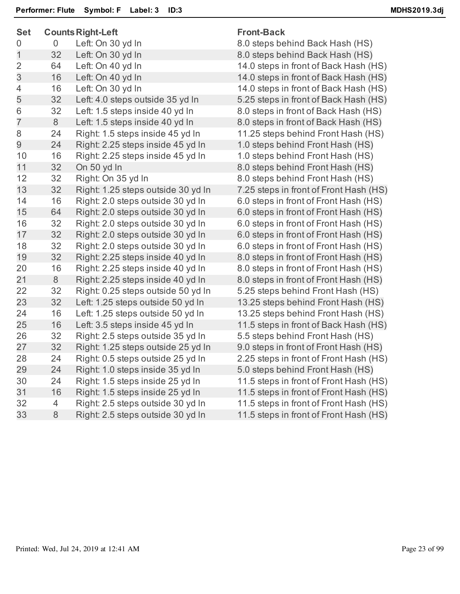| <b>Counts Right-Left</b> |                                                                                          | <b>Front-Back</b>                                                                                                                                                                                                                                                                                                                                                                                                                                                                                                                                                                                                                             |  |
|--------------------------|------------------------------------------------------------------------------------------|-----------------------------------------------------------------------------------------------------------------------------------------------------------------------------------------------------------------------------------------------------------------------------------------------------------------------------------------------------------------------------------------------------------------------------------------------------------------------------------------------------------------------------------------------------------------------------------------------------------------------------------------------|--|
| $\overline{0}$           | Left: On 30 yd In                                                                        | 8.0 steps behind Back Hash (HS)                                                                                                                                                                                                                                                                                                                                                                                                                                                                                                                                                                                                               |  |
| 32                       | Left: On 30 yd In                                                                        | 8.0 steps behind Back Hash (HS)                                                                                                                                                                                                                                                                                                                                                                                                                                                                                                                                                                                                               |  |
| 64                       | Left: On 40 yd In                                                                        | 14.0 steps in front of Back Hash (HS)                                                                                                                                                                                                                                                                                                                                                                                                                                                                                                                                                                                                         |  |
| 16                       | Left: On 40 yd In                                                                        | 14.0 steps in front of Back Hash (HS)                                                                                                                                                                                                                                                                                                                                                                                                                                                                                                                                                                                                         |  |
| 16                       | Left: On 30 yd In                                                                        | 14.0 steps in front of Back Hash (HS)                                                                                                                                                                                                                                                                                                                                                                                                                                                                                                                                                                                                         |  |
| 32                       | Left: 4.0 steps outside 35 yd In                                                         | 5.25 steps in front of Back Hash (HS)                                                                                                                                                                                                                                                                                                                                                                                                                                                                                                                                                                                                         |  |
| 32                       | Left: 1.5 steps inside 40 yd In                                                          | 8.0 steps in front of Back Hash (HS)                                                                                                                                                                                                                                                                                                                                                                                                                                                                                                                                                                                                          |  |
| 8                        | Left: 1.5 steps inside 40 yd In                                                          | 8.0 steps in front of Back Hash (HS)                                                                                                                                                                                                                                                                                                                                                                                                                                                                                                                                                                                                          |  |
| 24                       | Right: 1.5 steps inside 45 yd In                                                         | 11.25 steps behind Front Hash (HS)                                                                                                                                                                                                                                                                                                                                                                                                                                                                                                                                                                                                            |  |
| 24                       | Right: 2.25 steps inside 45 yd In                                                        | 1.0 steps behind Front Hash (HS)                                                                                                                                                                                                                                                                                                                                                                                                                                                                                                                                                                                                              |  |
| 16                       | Right: 2.25 steps inside 45 yd In                                                        | 1.0 steps behind Front Hash (HS)                                                                                                                                                                                                                                                                                                                                                                                                                                                                                                                                                                                                              |  |
| 32                       | On 50 yd In                                                                              | 8.0 steps behind Front Hash (HS)                                                                                                                                                                                                                                                                                                                                                                                                                                                                                                                                                                                                              |  |
| 32                       | Right: On 35 yd In                                                                       | 8.0 steps behind Front Hash (HS)                                                                                                                                                                                                                                                                                                                                                                                                                                                                                                                                                                                                              |  |
| 32                       | Right: 1.25 steps outside 30 yd In                                                       | 7.25 steps in front of Front Hash (HS)                                                                                                                                                                                                                                                                                                                                                                                                                                                                                                                                                                                                        |  |
| 16                       | Right: 2.0 steps outside 30 yd In                                                        | 6.0 steps in front of Front Hash (HS)                                                                                                                                                                                                                                                                                                                                                                                                                                                                                                                                                                                                         |  |
| 64                       |                                                                                          | 6.0 steps in front of Front Hash (HS)                                                                                                                                                                                                                                                                                                                                                                                                                                                                                                                                                                                                         |  |
| 32                       |                                                                                          | 6.0 steps in front of Front Hash (HS)                                                                                                                                                                                                                                                                                                                                                                                                                                                                                                                                                                                                         |  |
| 32                       |                                                                                          | 6.0 steps in front of Front Hash (HS)                                                                                                                                                                                                                                                                                                                                                                                                                                                                                                                                                                                                         |  |
| 32                       | Right: 2.0 steps outside 30 yd In                                                        | 6.0 steps in front of Front Hash (HS)                                                                                                                                                                                                                                                                                                                                                                                                                                                                                                                                                                                                         |  |
|                          |                                                                                          | 8.0 steps in front of Front Hash (HS)                                                                                                                                                                                                                                                                                                                                                                                                                                                                                                                                                                                                         |  |
|                          |                                                                                          | 8.0 steps in front of Front Hash (HS)                                                                                                                                                                                                                                                                                                                                                                                                                                                                                                                                                                                                         |  |
|                          |                                                                                          | 8.0 steps in front of Front Hash (HS)                                                                                                                                                                                                                                                                                                                                                                                                                                                                                                                                                                                                         |  |
|                          | Right: 0.25 steps outside 50 yd In                                                       | 5.25 steps behind Front Hash (HS)                                                                                                                                                                                                                                                                                                                                                                                                                                                                                                                                                                                                             |  |
|                          |                                                                                          | 13.25 steps behind Front Hash (HS)                                                                                                                                                                                                                                                                                                                                                                                                                                                                                                                                                                                                            |  |
|                          |                                                                                          | 13.25 steps behind Front Hash (HS)                                                                                                                                                                                                                                                                                                                                                                                                                                                                                                                                                                                                            |  |
|                          |                                                                                          | 11.5 steps in front of Back Hash (HS)                                                                                                                                                                                                                                                                                                                                                                                                                                                                                                                                                                                                         |  |
|                          |                                                                                          | 5.5 steps behind Front Hash (HS)                                                                                                                                                                                                                                                                                                                                                                                                                                                                                                                                                                                                              |  |
|                          |                                                                                          | 9.0 steps in front of Front Hash (HS)                                                                                                                                                                                                                                                                                                                                                                                                                                                                                                                                                                                                         |  |
|                          |                                                                                          | 2.25 steps in front of Front Hash (HS)                                                                                                                                                                                                                                                                                                                                                                                                                                                                                                                                                                                                        |  |
|                          |                                                                                          | 5.0 steps behind Front Hash (HS)                                                                                                                                                                                                                                                                                                                                                                                                                                                                                                                                                                                                              |  |
|                          |                                                                                          | 11.5 steps in front of Front Hash (HS)                                                                                                                                                                                                                                                                                                                                                                                                                                                                                                                                                                                                        |  |
|                          |                                                                                          | 11.5 steps in front of Front Hash (HS)                                                                                                                                                                                                                                                                                                                                                                                                                                                                                                                                                                                                        |  |
| 4                        |                                                                                          | 11.5 steps in front of Front Hash (HS)                                                                                                                                                                                                                                                                                                                                                                                                                                                                                                                                                                                                        |  |
|                          |                                                                                          | 11.5 steps in front of Front Hash (HS)                                                                                                                                                                                                                                                                                                                                                                                                                                                                                                                                                                                                        |  |
|                          | 32<br>16<br>$8\,$<br>32<br>32<br>16<br>16<br>32<br>32<br>24<br>24<br>24<br>16<br>$\,8\,$ | Right: 2.0 steps outside 30 yd In<br>Right: 2.0 steps outside 30 yd In<br>Right: 2.0 steps outside 30 yd In<br>Right: 2.25 steps inside 40 yd In<br>Right: 2.25 steps inside 40 yd In<br>Right: 2.25 steps inside 40 yd In<br>Left: 1.25 steps outside 50 yd In<br>Left: 1.25 steps outside 50 yd In<br>Left: 3.5 steps inside 45 yd In<br>Right: 2.5 steps outside 35 yd In<br>Right: 1.25 steps outside 25 yd In<br>Right: 0.5 steps outside 25 yd In<br>Right: 1.0 steps inside 35 yd In<br>Right: 1.5 steps inside 25 yd In<br>Right: 1.5 steps inside 25 yd In<br>Right: 2.5 steps outside 30 yd In<br>Right: 2.5 steps outside 30 yd In |  |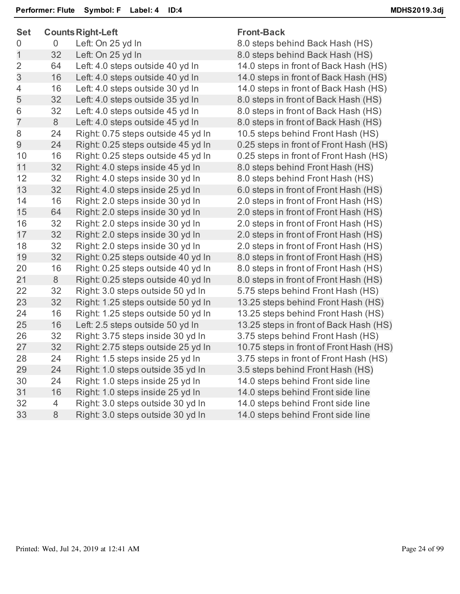| <b>Set</b>     |                | <b>Counts Right-Left</b>           | <b>Front-Back</b>                       |  |
|----------------|----------------|------------------------------------|-----------------------------------------|--|
| 0              | $\overline{0}$ | Left: On 25 yd In                  | 8.0 steps behind Back Hash (HS)         |  |
| 1              | 32             | Left: On 25 yd In                  | 8.0 steps behind Back Hash (HS)         |  |
| $\overline{2}$ | 64             | Left: 4.0 steps outside 40 yd In   | 14.0 steps in front of Back Hash (HS)   |  |
| 3              | 16             | Left: 4.0 steps outside 40 yd In   | 14.0 steps in front of Back Hash (HS)   |  |
| $\overline{4}$ | 16             | Left: 4.0 steps outside 30 yd In   | 14.0 steps in front of Back Hash (HS)   |  |
| 5              | 32             | Left: 4.0 steps outside 35 yd In   | 8.0 steps in front of Back Hash (HS)    |  |
| 6              | 32             | Left: 4.0 steps outside 45 yd In   | 8.0 steps in front of Back Hash (HS)    |  |
| $\overline{7}$ | 8              | Left: 4.0 steps outside 45 yd In   | 8.0 steps in front of Back Hash (HS)    |  |
| 8              | 24             | Right: 0.75 steps outside 45 yd In | 10.5 steps behind Front Hash (HS)       |  |
| 9              | 24             | Right: 0.25 steps outside 45 yd In | 0.25 steps in front of Front Hash (HS)  |  |
| 10             | 16             | Right: 0.25 steps outside 45 yd In | 0.25 steps in front of Front Hash (HS)  |  |
| 11             | 32             | Right: 4.0 steps inside 45 yd In   | 8.0 steps behind Front Hash (HS)        |  |
| 12             | 32             | Right: 4.0 steps inside 30 yd In   | 8.0 steps behind Front Hash (HS)        |  |
| 13             | 32             | Right: 4.0 steps inside 25 yd In   | 6.0 steps in front of Front Hash (HS)   |  |
| 14             | 16             | Right: 2.0 steps inside 30 yd In   | 2.0 steps in front of Front Hash (HS)   |  |
| 15             | 64             | Right: 2.0 steps inside 30 yd In   | 2.0 steps in front of Front Hash (HS)   |  |
| 16             | 32             | Right: 2.0 steps inside 30 yd In   | 2.0 steps in front of Front Hash (HS)   |  |
| 17             | 32             | Right: 2.0 steps inside 30 yd In   | 2.0 steps in front of Front Hash (HS)   |  |
| 18             | 32             | Right: 2.0 steps inside 30 yd In   | 2.0 steps in front of Front Hash (HS)   |  |
| 19             | 32             | Right: 0.25 steps outside 40 yd In | 8.0 steps in front of Front Hash (HS)   |  |
| 20             | 16             | Right: 0.25 steps outside 40 yd In | 8.0 steps in front of Front Hash (HS)   |  |
| 21             | 8              | Right: 0.25 steps outside 40 yd In | 8.0 steps in front of Front Hash (HS)   |  |
| 22             | 32             | Right: 3.0 steps outside 50 yd In  | 5.75 steps behind Front Hash (HS)       |  |
| 23             | 32             | Right: 1.25 steps outside 50 yd In | 13.25 steps behind Front Hash (HS)      |  |
| 24             | 16             | Right: 1.25 steps outside 50 yd In | 13.25 steps behind Front Hash (HS)      |  |
| 25             | 16             | Left: 2.5 steps outside 50 yd In   | 13.25 steps in front of Back Hash (HS)  |  |
| 26             | 32             | Right: 3.75 steps inside 30 yd In  | 3.75 steps behind Front Hash (HS)       |  |
| 27             | 32             | Right: 2.75 steps outside 25 yd In | 10.75 steps in front of Front Hash (HS) |  |
| 28             | 24             | Right: 1.5 steps inside 25 yd In   | 3.75 steps in front of Front Hash (HS)  |  |
| 29             | 24             | Right: 1.0 steps outside 35 yd In  | 3.5 steps behind Front Hash (HS)        |  |
| 30             | 24             | Right: 1.0 steps inside 25 yd In   | 14.0 steps behind Front side line       |  |
| 31             | 16             | Right: 1.0 steps inside 25 yd In   | 14.0 steps behind Front side line       |  |
| 32             | 4              | Right: 3.0 steps outside 30 yd In  | 14.0 steps behind Front side line       |  |
| 33             | $\,8\,$        | Right: 3.0 steps outside 30 yd In  | 14.0 steps behind Front side line       |  |
|                |                |                                    |                                         |  |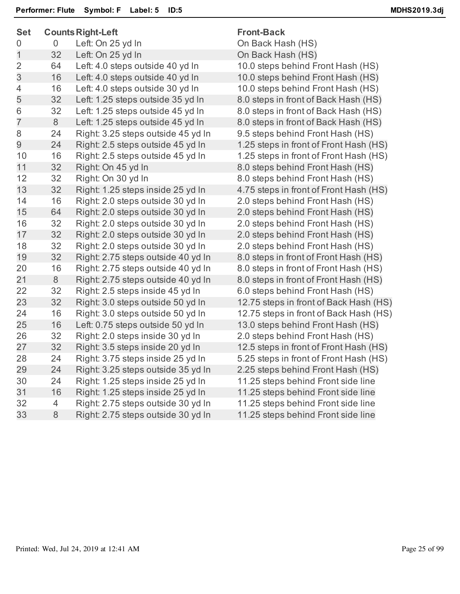| <b>Set</b>     | <b>Counts Right-Left</b> |                                    | <b>Front-Back</b>                      |  |
|----------------|--------------------------|------------------------------------|----------------------------------------|--|
| 0              | $\overline{0}$           | Left: On 25 yd In                  | On Back Hash (HS)                      |  |
| $\mathbf{1}$   | 32                       | Left: On 25 yd In                  | On Back Hash (HS)                      |  |
| $\overline{2}$ | 64                       | Left: 4.0 steps outside 40 yd In   | 10.0 steps behind Front Hash (HS)      |  |
| 3              | 16                       | Left: 4.0 steps outside 40 yd In   | 10.0 steps behind Front Hash (HS)      |  |
| 4              | 16                       | Left: 4.0 steps outside 30 yd In   | 10.0 steps behind Front Hash (HS)      |  |
| 5              | 32                       | Left: 1.25 steps outside 35 yd In  | 8.0 steps in front of Back Hash (HS)   |  |
| 6              | 32                       | Left: 1.25 steps outside 45 yd In  | 8.0 steps in front of Back Hash (HS)   |  |
| $\overline{7}$ | 8                        | Left: 1.25 steps outside 45 yd In  | 8.0 steps in front of Back Hash (HS)   |  |
| 8              | 24                       | Right: 3.25 steps outside 45 yd In | 9.5 steps behind Front Hash (HS)       |  |
| 9              | 24                       | Right: 2.5 steps outside 45 yd In  | 1.25 steps in front of Front Hash (HS) |  |
| 10             | 16                       | Right: 2.5 steps outside 45 yd In  | 1.25 steps in front of Front Hash (HS) |  |
| 11             | 32                       | Right: On 45 yd In                 | 8.0 steps behind Front Hash (HS)       |  |
| 12             | 32                       | Right: On 30 yd In                 | 8.0 steps behind Front Hash (HS)       |  |
| 13             | 32                       | Right: 1.25 steps inside 25 yd In  | 4.75 steps in front of Front Hash (HS) |  |
| 14             | 16                       | Right: 2.0 steps outside 30 yd In  | 2.0 steps behind Front Hash (HS)       |  |
| 15             | 64                       | Right: 2.0 steps outside 30 yd In  | 2.0 steps behind Front Hash (HS)       |  |
| 16             | 32                       | Right: 2.0 steps outside 30 yd In  | 2.0 steps behind Front Hash (HS)       |  |
| 17             | 32                       | Right: 2.0 steps outside 30 yd In  | 2.0 steps behind Front Hash (HS)       |  |
| 18             | 32                       | Right: 2.0 steps outside 30 yd In  | 2.0 steps behind Front Hash (HS)       |  |
| 19             | 32                       | Right: 2.75 steps outside 40 yd In | 8.0 steps in front of Front Hash (HS)  |  |
| 20             | 16                       | Right: 2.75 steps outside 40 yd In | 8.0 steps in front of Front Hash (HS)  |  |
| 21             | $8\,$                    | Right: 2.75 steps outside 40 yd In | 8.0 steps in front of Front Hash (HS)  |  |
| 22             | 32                       | Right: 2.5 steps inside 45 yd In   | 6.0 steps behind Front Hash (HS)       |  |
| 23             | 32                       | Right: 3.0 steps outside 50 yd In  | 12.75 steps in front of Back Hash (HS) |  |
| 24             | 16                       | Right: 3.0 steps outside 50 yd In  | 12.75 steps in front of Back Hash (HS) |  |
| 25             | 16                       | Left: 0.75 steps outside 50 yd In  | 13.0 steps behind Front Hash (HS)      |  |
| 26             | 32                       | Right: 2.0 steps inside 30 yd In   | 2.0 steps behind Front Hash (HS)       |  |
| 27             | 32                       | Right: 3.5 steps inside 20 yd In   | 12.5 steps in front of Front Hash (HS) |  |
| 28             | 24                       | Right: 3.75 steps inside 25 yd In  | 5.25 steps in front of Front Hash (HS) |  |
| 29             | 24                       | Right: 3.25 steps outside 35 yd In | 2.25 steps behind Front Hash (HS)      |  |
| 30             | 24                       | Right: 1.25 steps inside 25 yd In  | 11.25 steps behind Front side line     |  |
| 31             | 16                       | Right: 1.25 steps inside 25 yd In  | 11.25 steps behind Front side line     |  |
| 32             | 4                        | Right: 2.75 steps outside 30 yd In | 11.25 steps behind Front side line     |  |
| 33             | $8\,$                    | Right: 2.75 steps outside 30 yd In | 11.25 steps behind Front side line     |  |
|                |                          |                                    |                                        |  |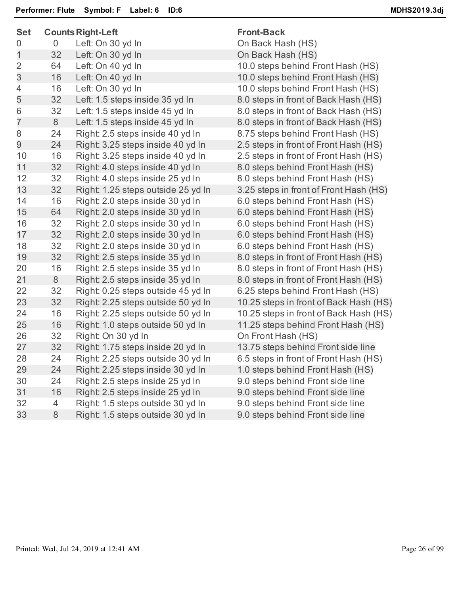| <b>Set</b>     |    | <b>Counts Right-Left</b>           | <b>Front-Back</b>                      |  |
|----------------|----|------------------------------------|----------------------------------------|--|
| 0              | 0  | Left: On 30 yd In                  | On Back Hash (HS)                      |  |
| 1              | 32 | Left: On 30 yd In                  | On Back Hash (HS)                      |  |
| $\overline{2}$ | 64 | Left: On 40 yd In                  | 10.0 steps behind Front Hash (HS)      |  |
| 3              | 16 | Left: On 40 yd In                  | 10.0 steps behind Front Hash (HS)      |  |
| 4              | 16 | Left: On 30 yd In                  | 10.0 steps behind Front Hash (HS)      |  |
| 5              | 32 | Left: 1.5 steps inside 35 yd In    | 8.0 steps in front of Back Hash (HS)   |  |
| 6              | 32 | Left: 1.5 steps inside 45 yd In    | 8.0 steps in front of Back Hash (HS)   |  |
| $\overline{7}$ | 8  | Left: 1.5 steps inside 45 yd In    | 8.0 steps in front of Back Hash (HS)   |  |
| 8              | 24 | Right: 2.5 steps inside 40 yd In   | 8.75 steps behind Front Hash (HS)      |  |
| 9              | 24 | Right: 3.25 steps inside 40 yd In  | 2.5 steps in front of Front Hash (HS)  |  |
| 10             | 16 | Right: 3.25 steps inside 40 yd In  | 2.5 steps in front of Front Hash (HS)  |  |
| 11             | 32 | Right: 4.0 steps inside 40 yd In   | 8.0 steps behind Front Hash (HS)       |  |
| 12             | 32 | Right: 4.0 steps inside 25 yd In   | 8.0 steps behind Front Hash (HS)       |  |
| 13             | 32 | Right: 1.25 steps outside 25 yd In | 3.25 steps in front of Front Hash (HS) |  |
| 14             | 16 | Right: 2.0 steps inside 30 yd In   | 6.0 steps behind Front Hash (HS)       |  |
| 15             | 64 | Right: 2.0 steps inside 30 yd In   | 6.0 steps behind Front Hash (HS)       |  |
| 16             | 32 | Right: 2.0 steps inside 30 yd In   | 6.0 steps behind Front Hash (HS)       |  |
| 17             | 32 | Right: 2.0 steps inside 30 yd In   | 6.0 steps behind Front Hash (HS)       |  |
| 18             | 32 | Right: 2.0 steps inside 30 yd In   | 6.0 steps behind Front Hash (HS)       |  |
| 19             | 32 | Right: 2.5 steps inside 35 yd In   | 8.0 steps in front of Front Hash (HS)  |  |
| 20             | 16 | Right: 2.5 steps inside 35 yd In   | 8.0 steps in front of Front Hash (HS)  |  |
| 21             | 8  | Right: 2.5 steps inside 35 yd In   | 8.0 steps in front of Front Hash (HS)  |  |
| 22             | 32 | Right: 0.25 steps outside 45 yd In | 6.25 steps behind Front Hash (HS)      |  |
| 23             | 32 | Right: 2.25 steps outside 50 yd In | 10.25 steps in front of Back Hash (HS) |  |
| 24             | 16 | Right: 2.25 steps outside 50 yd In | 10.25 steps in front of Back Hash (HS) |  |
| 25             | 16 | Right: 1.0 steps outside 50 yd In  | 11.25 steps behind Front Hash (HS)     |  |
| 26             | 32 | Right: On 30 yd In                 | On Front Hash (HS)                     |  |
| 27             | 32 | Right: 1.75 steps inside 20 yd In  | 13.75 steps behind Front side line     |  |
| 28             | 24 | Right: 2.25 steps outside 30 yd In | 6.5 steps in front of Front Hash (HS)  |  |
| 29             | 24 | Right: 2.25 steps inside 30 yd In  | 1.0 steps behind Front Hash (HS)       |  |
| 30             | 24 | Right: 2.5 steps inside 25 yd In   | 9.0 steps behind Front side line       |  |
| 31             | 16 | Right: 2.5 steps inside 25 yd In   | 9.0 steps behind Front side line       |  |
| 32             | 4  | Right: 1.5 steps outside 30 yd In  | 9.0 steps behind Front side line       |  |
| 33             | 8  | Right: 1.5 steps outside 30 yd In  | 9.0 steps behind Front side line       |  |
|                |    |                                    |                                        |  |